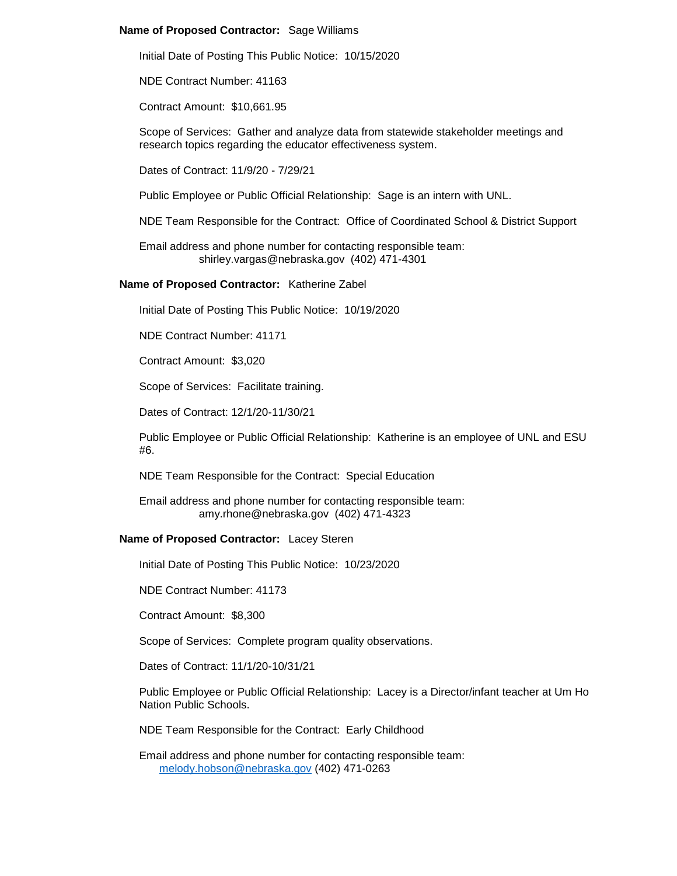## **Name of Proposed Contractor:** Sage Williams

Initial Date of Posting This Public Notice: 10/15/2020

NDE Contract Number: 41163

Contract Amount: \$10,661.95

Scope of Services: Gather and analyze data from statewide stakeholder meetings and research topics regarding the educator effectiveness system.

Dates of Contract: 11/9/20 - 7/29/21

Public Employee or Public Official Relationship: Sage is an intern with UNL.

NDE Team Responsible for the Contract: Office of Coordinated School & District Support

Email address and phone number for contacting responsible team: shirley.vargas@nebraska.gov (402) 471-4301

### **Name of Proposed Contractor:** Katherine Zabel

Initial Date of Posting This Public Notice: 10/19/2020

NDE Contract Number: 41171

Contract Amount: \$3,020

Scope of Services: Facilitate training.

Dates of Contract: 12/1/20-11/30/21

Public Employee or Public Official Relationship: Katherine is an employee of UNL and ESU #6.

NDE Team Responsible for the Contract: Special Education

#### Email address and phone number for contacting responsible team: amy.rhone@nebraska.gov (402) 471-4323

#### **Name of Proposed Contractor:** Lacey Steren

Initial Date of Posting This Public Notice: 10/23/2020

NDE Contract Number: 41173

Contract Amount: \$8,300

Scope of Services: Complete program quality observations.

Dates of Contract: 11/1/20-10/31/21

Public Employee or Public Official Relationship: Lacey is a Director/infant teacher at Um Ho Nation Public Schools.

NDE Team Responsible for the Contract: Early Childhood

Email address and phone number for contacting responsible team: [melody.hobson@nebraska.gov](mailto:melody.hobson@nebraska.gov) (402) 471-0263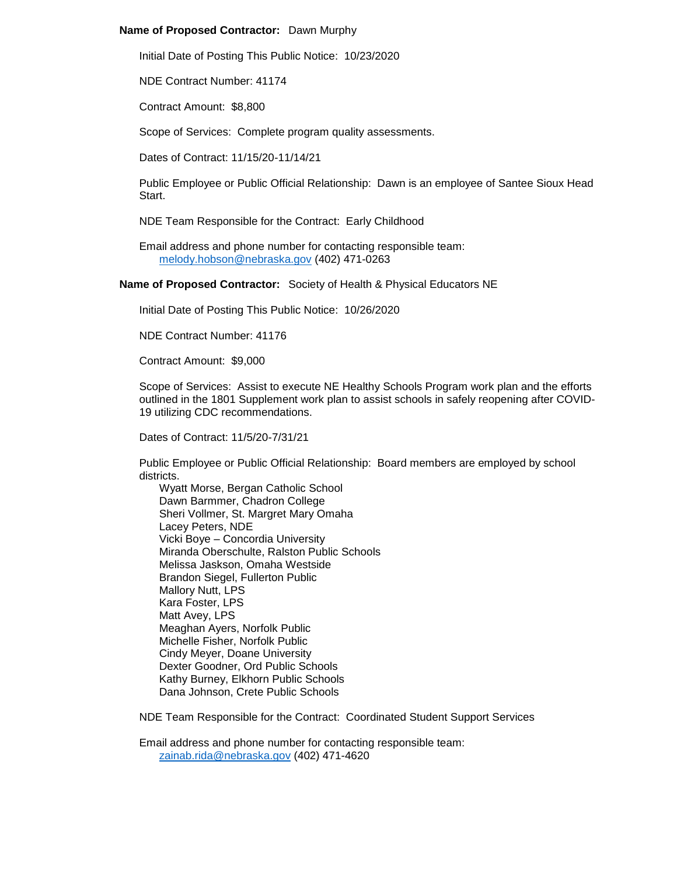# **Name of Proposed Contractor:** Dawn Murphy

Initial Date of Posting This Public Notice: 10/23/2020

NDE Contract Number: 41174

Contract Amount: \$8,800

Scope of Services: Complete program quality assessments.

Dates of Contract: 11/15/20-11/14/21

Public Employee or Public Official Relationship: Dawn is an employee of Santee Sioux Head Start.

NDE Team Responsible for the Contract: Early Childhood

Email address and phone number for contacting responsible team: [melody.hobson@nebraska.gov](mailto:melody.hobson@nebraska.gov) (402) 471-0263

**Name of Proposed Contractor:** Society of Health & Physical Educators NE

Initial Date of Posting This Public Notice: 10/26/2020

NDE Contract Number: 41176

Contract Amount: \$9,000

Scope of Services: Assist to execute NE Healthy Schools Program work plan and the efforts outlined in the 1801 Supplement work plan to assist schools in safely reopening after COVID-19 utilizing CDC recommendations.

Dates of Contract: 11/5/20-7/31/21

Public Employee or Public Official Relationship: Board members are employed by school districts.

Wyatt Morse, Bergan Catholic School Dawn Barmmer, Chadron College Sheri Vollmer, St. Margret Mary Omaha Lacey Peters, NDE Vicki Boye – Concordia University Miranda Oberschulte, Ralston Public Schools Melissa Jaskson, Omaha Westside Brandon Siegel, Fullerton Public Mallory Nutt, LPS Kara Foster, LPS Matt Avey, LPS Meaghan Ayers, Norfolk Public Michelle Fisher, Norfolk Public Cindy Meyer, Doane University Dexter Goodner, Ord Public Schools Kathy Burney, Elkhorn Public Schools Dana Johnson, Crete Public Schools

NDE Team Responsible for the Contract: Coordinated Student Support Services

Email address and phone number for contacting responsible team: [zainab.rida@nebraska.gov](mailto:zainab.rida@nebraska.gov) (402) 471-4620